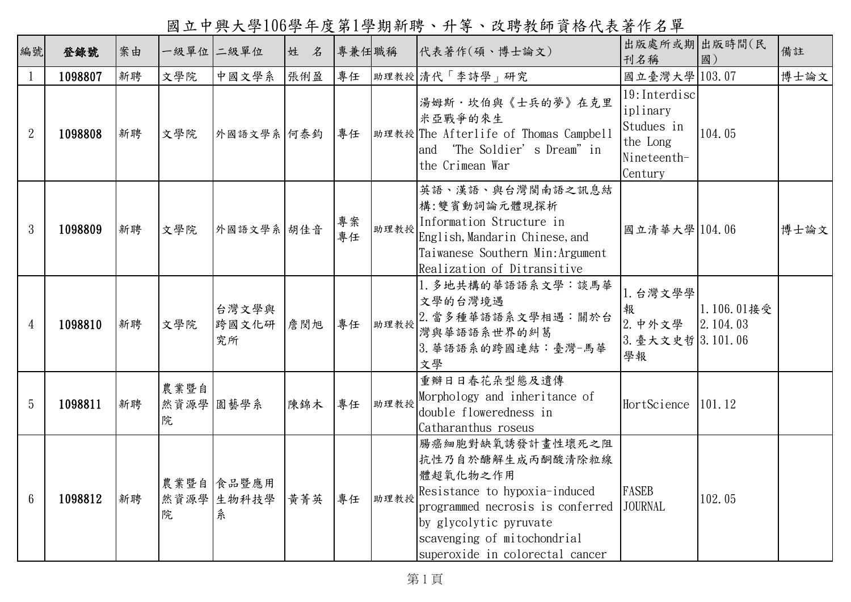國立中興大學106學年度第1學期新聘、升等、改聘教師資格代表著作名單

| 編號              | 登錄號     | 案由 |                        | 一級單位 二級單位                     | 姓 名 | 專兼任職稱    |      | 代表著作(碩、博士論文)                                                                                                                                                                                                      | 出版處所或期 出版時間(民<br>刊名稱                                                          | 國)                     | 備註   |
|-----------------|---------|----|------------------------|-------------------------------|-----|----------|------|-------------------------------------------------------------------------------------------------------------------------------------------------------------------------------------------------------------------|-------------------------------------------------------------------------------|------------------------|------|
| $\mathbf{1}$    | 1098807 | 新聘 | 文學院                    | 中國文學系                         | 張俐盈 | 專任       |      | 助理教授 清代「李詩學」研究                                                                                                                                                                                                    | 國立臺灣大學 103.07                                                                 |                        | 博士論文 |
| $\overline{2}$  | 1098808 | 新聘 | 文學院                    | 外國語文學系 何泰鈞                    |     | 專任       |      | 湯姆斯·坎伯與《士兵的夢》在克里<br>米亞戰爭的來生<br> 助理教授 The Afterlife of Thomas Campbell<br>'The Soldier's Dream" in<br>and<br>the Crimean War                                                                                       | 19: Interdisc<br>iplinary<br>Studues in<br>the Long<br>Nineteenth-<br>Century | 104.05                 |      |
| 3               | 1098809 | 新聘 | 文學院                    | 外國語文學系 胡佳音                    |     | 專案<br>專任 | 助理教授 | 英語、漢語、與台灣閩南語之訊息結<br>構:雙賓動詞論元體現探析<br>Information Structure in<br>English, Mandarin Chinese, and<br>Taiwanese Southern Min: Argument<br>Realization of Ditransitive                                                 | 國立清華大學 104.06                                                                 |                        | 博士論文 |
| $\overline{4}$  | 1098810 | 新聘 | 文學院                    | 台灣文學與<br>跨國文化研<br>究所          | 詹閔旭 | 專任       | 助理教授 | 1. 多地共構的華語語系文學:談馬華<br>文學的台灣境遇<br>2. 當多種華語語系文學相遇:關於台<br>灣與華語語系世界的糾葛<br>3. 華語語系的跨國連結:臺灣-馬華<br>文學                                                                                                                    | 1. 台灣文學學<br>報<br>2. 中外文學<br> 3. 臺大文史哲  3.101.06<br>學報                         | 1.106.01接受<br>2.104.03 |      |
| 5               | 1098811 | 新聘 | 農業暨自<br>然資源學 園藝學系<br>院 |                               | 陳錦木 | 專任       | 助理教授 | 重瓣日日春花朵型態及遺傳<br>Morphology and inheritance of<br>double floweredness in<br>Catharanthus roseus                                                                                                                    | HortScience                                                                   | 101.12                 |      |
| $6\phantom{1}6$ | 1098812 | 新聘 | 院                      | 農業暨自 食品暨應用<br>然資源學 生物科技學<br>糸 | 黃菁英 | 專任       | 助理教授 | 腸癌細胞對缺氧誘發計畫性壞死之阻<br>抗性乃自於醣解生成丙酮酸清除粒線<br>體超氧化物之作用<br>Resistance to hypoxia-induced<br>programmed necrosis is conferred<br>by glycolytic pyruvate<br>scavenging of mitochondrial<br>superoxide in colorectal cancer | <b>FASEB</b><br><b>JOURNAL</b>                                                | 102.05                 |      |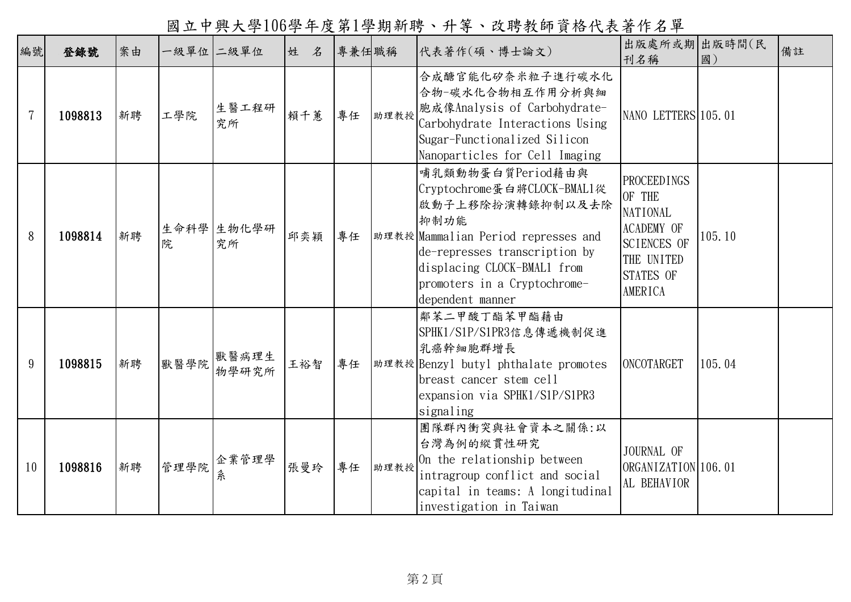國立中興大學106學年度第1學期新聘、升等、改聘教師資格代表著作名單

| 編號 | 登錄號     | 案由 |      | 一級單位 二級單位        | 姓   | 名 | 專兼任職稱 |      | 代表著作(碩、博士論文)                                                                                                                                                                                                                            | 出版處所或期 出版時間(民<br>刊名稱                                                                                                                           | 國)     | 備註 |
|----|---------|----|------|------------------|-----|---|-------|------|-----------------------------------------------------------------------------------------------------------------------------------------------------------------------------------------------------------------------------------------|------------------------------------------------------------------------------------------------------------------------------------------------|--------|----|
| 7  | 1098813 | 新聘 | 工學院  | 生醫工程研<br>究所      | 賴千蕙 |   | 專任    | 助理教授 | 合成醣官能化矽奈米粒子進行碳水化<br>合物-碳水化合物相互作用分析與細<br>胞成像Analysis of Carbohydrate-<br>Carbohydrate Interactions Using<br>Sugar-Functionalized Silicon<br>Nanoparticles for Cell Imaging                                                               | NANO LETTERS 105.01                                                                                                                            |        |    |
| 8  | 1098814 | 新聘 | 院    | 生命科學 生物化學研<br>究所 | 邱奕穎 |   | 專任    |      | 哺乳類動物蛋白質Period藉由與<br>Cryptochrome蛋白將CLOCK-BMAL1從<br>啟動子上移除扮演轉錄抑制以及去除<br>抑制功能<br>助理教授 Mammalian Period represses and<br>de-represses transcription by<br>displacing CLOCK-BMAL1 from<br>promoters in a Cryptochrome-<br>dependent manner | <b>PROCEEDINGS</b><br>OF THE<br><b>NATIONAL</b><br><b>ACADEMY OF</b><br><b>SCIENCES OF</b><br>THE UNITED<br><b>STATES OF</b><br><b>AMERICA</b> | 105.10 |    |
| 9  | 1098815 | 新聘 | 獸醫學院 | 獸醫病理生<br>物學研究所   | 王裕智 |   | 專任    |      | 鄰苯二甲酸丁酯苯甲酯藉由<br>SPHK1/S1P/S1PR3信息傳遞機制促進<br>乳癌幹細胞群增長<br>助理教授 Benzyl butyl phthalate promotes<br>breast cancer stem cell<br>expansion via SPHK1/S1P/S1PR3<br>signaling                                                                    | <b>ONCOTARGET</b>                                                                                                                              | 105.04 |    |
| 10 | 1098816 | 新聘 | 管理學院 | 企業管理學<br>糸       | 張曼玲 |   | 專任    | 助理教授 | 團隊群內衝突與社會資本之關係:以<br>台灣為例的縱貫性研究<br>On the relationship between<br>intragroup conflict and social<br>capital in teams: A longitudinal<br>investigation in Taiwan                                                                          | JOURNAL OF<br>ORGANIZATION 106.01<br>AL BEHAVIOR                                                                                               |        |    |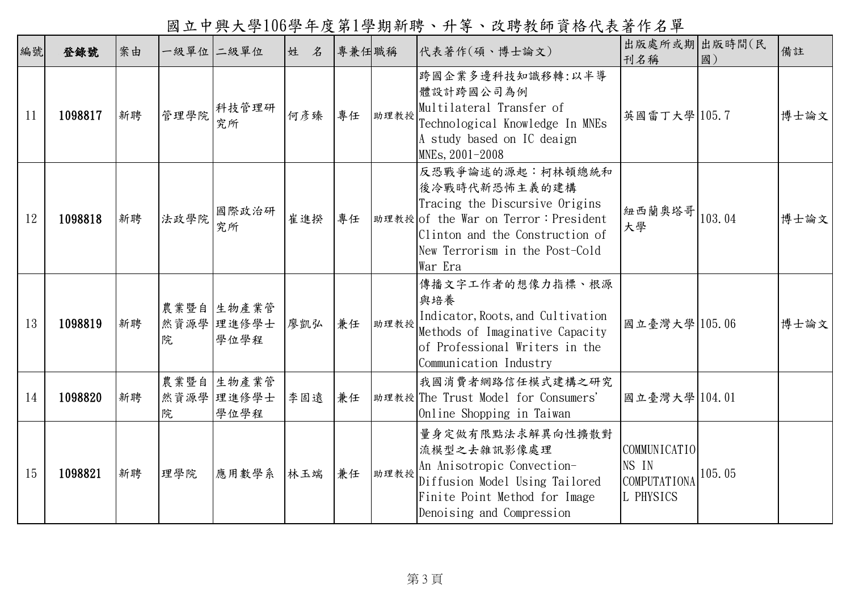國立中興大學106學年度第1學期新聘、升等、改聘教師資格代表著作名單

| 編號 | 登錄號     | 案由 |      | 一級單位 二級單位                        | 姓<br>名 | 專兼任職稱 |      | 代表著作(碩、博士論文)                                                                                                                                                                                 | 出版處所或期 出版時間(民<br>刊名稱                                      | 國)     | 備註   |
|----|---------|----|------|----------------------------------|--------|-------|------|----------------------------------------------------------------------------------------------------------------------------------------------------------------------------------------------|-----------------------------------------------------------|--------|------|
| 11 | 1098817 | 新聘 | 管理學院 | 科技管理研<br>究所                      | 何彥臻    | 專任    | 助理教授 | 跨國企業多邊科技知識移轉:以半導<br>體設計跨國公司為例<br>Multilateral Transfer of<br>Technological Knowledge In MNEs<br>A study based on IC deaign<br>MNEs, 2001-2008                                                | 英國雷丁大學 105.7                                              |        | 博士論文 |
| 12 | 1098818 | 新聘 | 法政學院 | 國際政治研<br>究所                      | 崔進揆    | 專任    |      | 反恐戰爭論述的源起︰柯林頓總統和<br>後冷戰時代新恐怖主義的建構<br>Tracing the Discursive Origins<br> 助理教授 of the War on Terror: President<br>Clinton and the Construction of<br>New Terrorism in the Post-Cold<br>War Era | 紐西蘭奧塔哥  103.04<br>大學                                      |        | 博士論文 |
| 13 | 1098819 | 新聘 | 院    | 農業暨自 生物產業管<br>然資源學 理進修學士<br>學位學程 | 廖凯弘    | 兼任    | 助理教授 | 傳播文字工作者的想像力指標、根源<br>與培養<br>Indicator, Roots, and Cultivation<br>Methods of Imaginative Capacity<br>of Professional Writers in the<br>Communication Industry                                  | 國立臺灣大學 105.06                                             |        | 博士論文 |
| 14 | 1098820 | 新聘 | 院    | 農業暨自生物產業管<br>然資源學 理進修學士<br>學位學程  | 李固遠    | 兼任    |      | 我國消費者網路信任模式建構之研究<br> 助理教授 The Trust Model for Consumers'<br>Online Shopping in Taiwan                                                                                                        | 國立臺灣大學 104.01                                             |        |      |
| 15 | 1098821 | 新聘 | 理學院  | 應用數學系                            | 林玉端    | 兼任    | 助理教授 | 量身定做有限點法求解異向性擴散對<br>流模型之去雜訊影像處理<br>An Anisotropic Convection-<br>Diffusion Model Using Tailored<br>Finite Point Method for Image<br>Denoising and Compression                                | COMMUNICATIO<br>NS IN<br><b>COMPUTATIONA</b><br>L PHYSICS | 105.05 |      |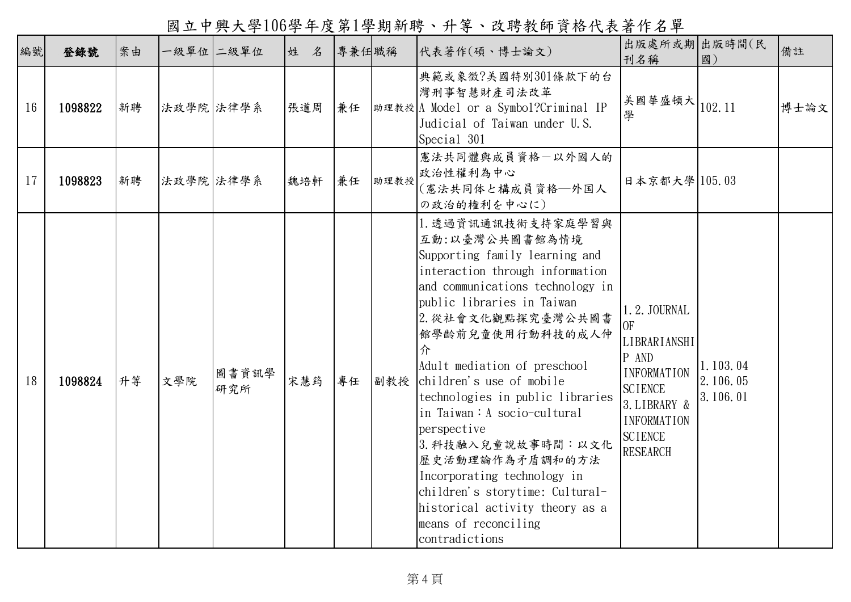國立中興大學106學年度第1學期新聘、升等、改聘教師資格代表著作名單

|    | 編號 | 登錄號     | 案由 | 一級單位二級單位  |              | 姓 名 | 專兼任職稱 |      | 代表著作(碩、博士論文)                                                                                                                                                                                                                                                                                                                                                                                                                                                                                                                                                     | 出版處所或期 出版時間(民<br>刊名稱                                                                                                                                                       | 國)                               | 備註   |
|----|----|---------|----|-----------|--------------|-----|-------|------|------------------------------------------------------------------------------------------------------------------------------------------------------------------------------------------------------------------------------------------------------------------------------------------------------------------------------------------------------------------------------------------------------------------------------------------------------------------------------------------------------------------------------------------------------------------|----------------------------------------------------------------------------------------------------------------------------------------------------------------------------|----------------------------------|------|
|    | 16 | 1098822 | 新聘 | 法政學院 法律學系 |              | 張道周 | 兼任    |      | 典範或象徵?美國特別301條款下的台<br>灣刑事智慧財產司法改革<br> 助理教授A Model or a Symbol?Criminal IP<br>Judicial of Taiwan under U.S.<br>Special 301                                                                                                                                                                                                                                                                                                                                                                                                                                        | 美國華盛頓大<br>學                                                                                                                                                                | 102.11                           | 博士論文 |
| 17 |    | 1098823 | 新聘 | 法政學院 法律學系 |              | 魏培軒 | 兼任    | 助理教授 | 憲法共同體與成員資格一以外國人的<br>政治性權利為中心<br>(憲法共同体と構成員資格–外国人<br>の政治的権利を中心に)                                                                                                                                                                                                                                                                                                                                                                                                                                                                                                  | 日本京都大學 105.03                                                                                                                                                              |                                  |      |
|    | 18 | 1098824 | 升等 | 文學院       | 圖書資訊學<br>研究所 | 宋慧筠 | 專任    | 副教授  | 1. 透過資訊通訊技術支持家庭學習與<br>互動:以臺灣公共圖書館為情境<br>Supporting family learning and<br>interaction through information<br>and communications technology in<br>public libraries in Taiwan<br>2. 從社會文化觀點探究臺灣公共圖書<br>館學齡前兒童使用行動科技的成人仲<br>介<br>Adult mediation of preschool<br>children's use of mobile<br>technologies in public libraries<br>in Taiwan: A socio-cultural<br>perspective<br>3. 科技融入兒童說故事時間:以文化<br>歷史活動理論作為矛盾調和的方法<br>Incorporating technology in<br>children's storytime: Cultural-<br>historical activity theory as a<br>means of reconciling<br>contradictions | 1.2. JOURNAL<br>0 <sub>F</sub><br>LIBRARIANSHI<br>P AND<br><b>INFORMATION</b><br><b>SCIENCE</b><br>3. LIBRARY &<br><b>INFORMATION</b><br><b>SCIENCE</b><br><b>RESEARCH</b> | 1.103.04<br>2.106.05<br>3.106.01 |      |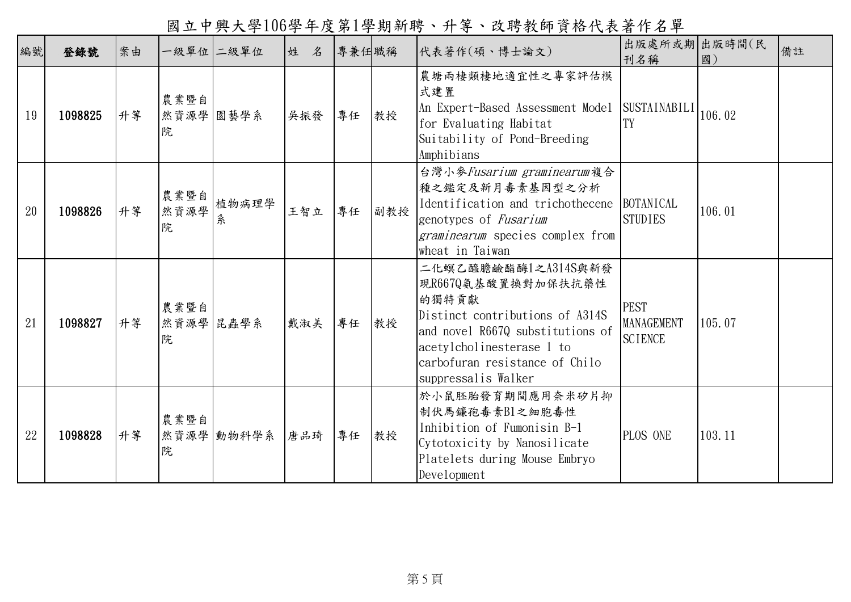編號 登錄號 案由 一級單位 二級單位 姓 名 專兼任職稱 代表著作(碩、博士論文) 刊名稱 出版處所或期 出版時間(民 出版时间(氏 備註 19 1098825 升第 農業暨自 然資源學 |園藝學系 | 吴振發 | 專任 | 教授 院 農塘兩棲類棲地適宜性之專家評估模 式建置 An Expert-Based Assessment Model SUSTAINABILI for Evaluating Habitat Suitability of Pond-Breeding Amphibians  $\begin{bmatrix} 5051A1NAD1L1 \\ TV \end{bmatrix}$  106.02 20 1098826 升等 農業暨自 然資源學 院 植物病理學 系 王智立 專任 副教授 台灣小麥Fusarium graminearum複合 種之鑑定及新月毒素基因型之分析 Identification and trichothecene BOTANICAL genotypes of Fusarium graminearum species complex from wheat in Taiwan STUDIES 106.01 21 1098827 升等 農業暨自 然資源學 昆虫学系 载淑美 專任 教授 院 二化螟乙醯膽鹼酯酶1之A314S與新發 現R667Q氨基酸置換對加保扶抗藥性 的獨特貢獻 Distinct contributions of A314S and novel R667Q substitutions of acetylcholinesterase 1 to carbofuran resistance of Chilo suppressalis Walker PEST MANAGEMENT **SCIENCE** 105.07 22 1098828 升第 農業暨自 然資源學 动物科学系 唐品琦 專任 教授 院 於小鼠胚胎發育期間應用奈米矽片抑 制伏馬鐮孢毒素B1之細胞毒性 Inhibition of Fumonisin B-1 Cytotoxicity by Nanosilicate Platelets during Mouse Embryo Development PLOS ONE 103.11

國立中興大學106學年度第1學期新聘、升等、改聘教師資格代表著作名單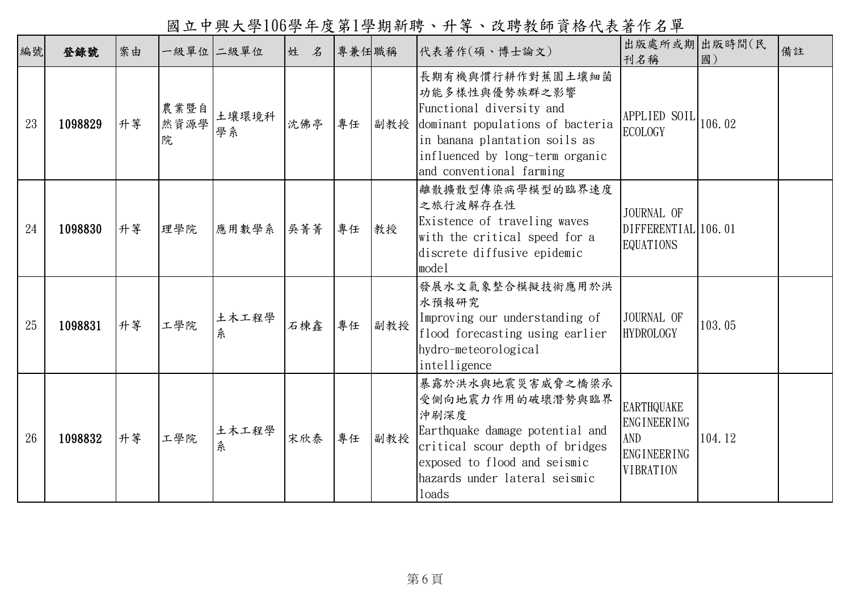國立中興大學106學年度第1學期新聘、升等、改聘教師資格代表著作名單

| 編號 | 登錄號     | 案由 |                   | 一級單位 二級單位   | 姓<br>名 | 專兼任職稱 |     | 代表著作(碩、博士論文)                                                                                                                                                                                      | 出版處所或期 出版時間(民<br>刊名稱                                                                     | 國)     | 備註 |
|----|---------|----|-------------------|-------------|--------|-------|-----|---------------------------------------------------------------------------------------------------------------------------------------------------------------------------------------------------|------------------------------------------------------------------------------------------|--------|----|
| 23 | 1098829 | 升等 | 農業暨自<br>然資源學<br>院 | 土壤環境科<br>學系 | 沈佛亭    | 專任    | 副教授 | 長期有機與慣行耕作對蕉園土壤細菌<br>功能多樣性與優勢族群之影響<br>Functional diversity and<br>dominant populations of bacteria<br>in banana plantation soils as<br>influenced by long-term organic<br>and conventional farming | APPLIED SOIL<br><b>ECOLOGY</b>                                                           | 106.02 |    |
| 24 | 1098830 | 升等 | 理學院               | 應用數學系       | 吳菁菁    | 專任    | 教授  | 離散擴散型傳染病學模型的臨界速度<br>之旅行波解存在性<br>Existence of traveling waves<br>with the critical speed for a<br>discrete diffusive epidemic<br>model                                                             | JOURNAL OF<br>DIFFERENTIAL 106.01<br><b>EQUATIONS</b>                                    |        |    |
| 25 | 1098831 | 升等 | 工學院               | 土木工程學<br>糸  | 石棟鑫    | 專任    | 副教授 | 發展水文氣象整合模擬技術應用於洪<br>水預報研究<br>Improving our understanding of<br>flood forecasting using earlier<br>hydro-meteorological<br>intelligence                                                            | JOURNAL OF<br><b>HYDROLOGY</b>                                                           | 103.05 |    |
| 26 | 1098832 | 升等 | 工學院               | 土木工程學<br>系  | 宋欣泰    | 專任    | 副教授 | 暴露於洪水與地震災害威脅之橋梁承<br>受側向地震力作用的破壞潛勢與臨界<br>沖刷深度<br>Earthquake damage potential and<br>critical scour depth of bridges<br>exposed to flood and seismic<br>hazards under lateral seismic<br>loads      | <b>EARTHQUAKE</b><br><b>ENGINEERING</b><br>AND<br><b>ENGINEERING</b><br><b>VIBRATION</b> | 104.12 |    |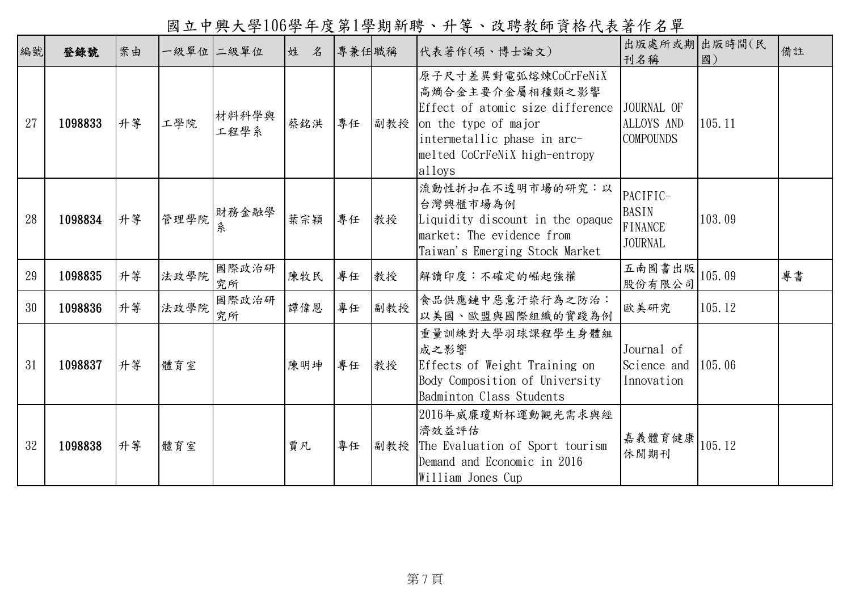國立中興大學106學年度第1學期新聘、升等、改聘教師資格代表著作名單

| 編號 | 登錄號     | 案由 |      | 一級單位 二級單位     | 姓<br>名 | 專兼任職稱 |     | 代表著作(碩、博士論文)                                                                                                                                                                  | 出版處所或期 出版時間(民<br>刊名稱                                         | 國)     | 備註 |
|----|---------|----|------|---------------|--------|-------|-----|-------------------------------------------------------------------------------------------------------------------------------------------------------------------------------|--------------------------------------------------------------|--------|----|
| 27 | 1098833 | 升等 | 工學院  | 材料科學與<br>工程學系 | 蔡銘洪    | 專任    | 副教授 | 原子尺寸差異對電弧熔煉CoCrFeNiX<br>高熵合金主要介金屬相種類之影響<br>Effect of atomic size difference<br>on the type of major<br>intermetallic phase in arc-<br>melted CoCrFeNiX high-entropy<br>alloys | JOURNAL OF<br><b>ALLOYS AND</b><br><b>COMPOUNDS</b>          | 105.11 |    |
| 28 | 1098834 | 升等 | 管理學院 | 財務金融學<br>糸    | 葉宗穎    | 專任    | 教授  | 流動性折扣在不透明市場的研究:以<br>台灣興櫃市場為例<br>Liquidity discount in the opaque<br>market: The evidence from<br>Taiwan's Emerging Stock Market                                               | PACIFIC-<br><b>BASIN</b><br><b>FINANCE</b><br><b>JOURNAL</b> | 103.09 |    |
| 29 | 1098835 | 升等 | 法政學院 | 國際政治研<br>究所   | 陳牧民    | 專任    | 教授  | 解讀印度:不確定的崛起強權                                                                                                                                                                 | 五南圖書出版<br>股份有限公司                                             | 105.09 | 專書 |
| 30 | 1098836 | 升等 | 法政學院 | 國際政治研<br>究所   | 譚偉恩    | 專任    | 副教授 | 食品供應鏈中惡意汙染行為之防治:<br>以美國、歐盟與國際組織的實踐為例                                                                                                                                          | 歐美研究                                                         | 105.12 |    |
| 31 | 1098837 | 升等 | 體育室  |               | 陳明坤    | 專任    | 教授  | 重量訓練對大學羽球課程學生身體組<br>成之影響<br>Effects of Weight Training on<br>Body Composition of University<br>Badminton Class Students                                                       | Journal of<br>Science and<br>Innovation                      | 105.06 |    |
| 32 | 1098838 | 升等 | 體育室  |               | 賈凡     | 專任    | 副教授 | 2016年威廉瓊斯杯運動觀光需求與經<br>濟效益評估<br>The Evaluation of Sport tourism<br>Demand and Economic in 2016<br>William Jones Cup                                                            | 嘉義體育健康<br>休閒期刊                                               | 105.12 |    |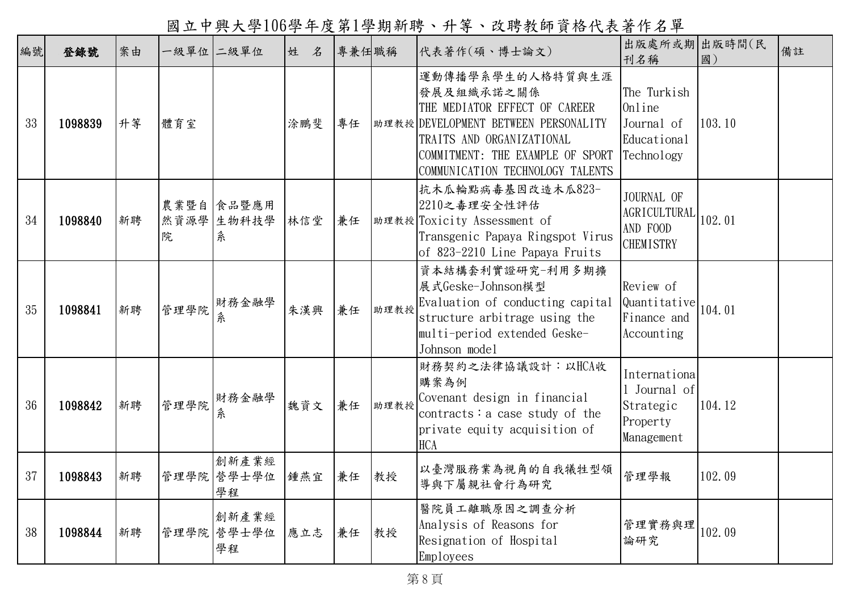國立中興大學106學年度第1學期新聘、升等、改聘教師資格代表著作名單

| 編號 | 登錄號     | 案由 |      | 一級單位 二級單位                     | 姓<br>名 | 專兼任職稱 |      | 代表著作(碩、博士論文)                                                                                                                                                                                                 | 出版處所或期 出版時間(民<br>刊名稱                                                | 國)     | 備註 |
|----|---------|----|------|-------------------------------|--------|-------|------|--------------------------------------------------------------------------------------------------------------------------------------------------------------------------------------------------------------|---------------------------------------------------------------------|--------|----|
| 33 | 1098839 | 升等 | 體育室  |                               | 涂鵬斐    | 專任    |      | 運動傳播學系學生的人格特質與生涯<br>發展及組織承諾之關係<br>THE MEDIATOR EFFECT OF CAREER<br>助理教授 DEVELOPMENT BETWEEN PERSONALITY<br>TRAITS AND ORGANIZATIONAL<br>COMMITMENT: THE EXAMPLE OF SPORT<br>COMMUNICATION TECHNOLOGY TALENTS | The Turkish<br>Online<br>Journal of<br>Educational<br>Technology    | 103.10 |    |
| 34 | 1098840 | 新聘 | 院    | 農業暨自 食品暨應用<br>然資源學 生物科技學<br>条 | 林信堂    | 兼任    |      | 抗木瓜輪點病毒基因改造木瓜823-<br>2210之毒理安全性評估<br> 助理教授 Toxicity Assessment of<br>Transgenic Papaya Ringspot Virus<br>of 823-2210 Line Papaya Fruits                                                                      | JOURNAL OF<br><b>AGRICULTURAL</b><br>AND FOOD<br><b>CHEMISTRY</b>   | 102.01 |    |
| 35 | 1098841 | 新聘 | 管理學院 | 財務金融學<br>糸                    | 朱漢興    | 兼任    | 助理教授 | 資本結構套利實證研究-利用多期擴<br>展式Geske-Johnson模型<br>Evaluation of conducting capital<br>structure arbitrage using the<br>multi-period extended Geske-<br>Johnson model                                                  | Review of<br>Quantitative<br>Finance and<br>Accounting              | 104.01 |    |
| 36 | 1098842 | 新聘 | 管理學院 | 財務金融學<br>糸                    | 魏資文    | 兼任    | 助理教授 | 財務契約之法律協議設計:以HCA收<br>購案為例<br>Covenant design in financial<br>contracts: a case study of the<br>private equity acquisition of<br><b>HCA</b>                                                                   | Internationa<br>1 Journal of<br>Strategic<br>Property<br>Management | 104.12 |    |
| 37 | 1098843 | 新聘 |      | 創新產業經<br>管理學院 營學士學位<br>學程     | 鍾燕宜    | 兼任    | 教授   | 以臺灣服務業為視角的自我犧牲型領<br>導與下屬親社會行為研究                                                                                                                                                                              | 管理學報                                                                | 102.09 |    |
| 38 | 1098844 | 新聘 |      | 創新產業經<br>管理學院 營學士學位<br>學程     | 應立志    | 兼任    | 教授   | 醫院員工離職原因之調查分析<br>Analysis of Reasons for<br>Resignation of Hospital<br>Employees                                                                                                                             | 管理實務與理<br>論研究                                                       | 102.09 |    |